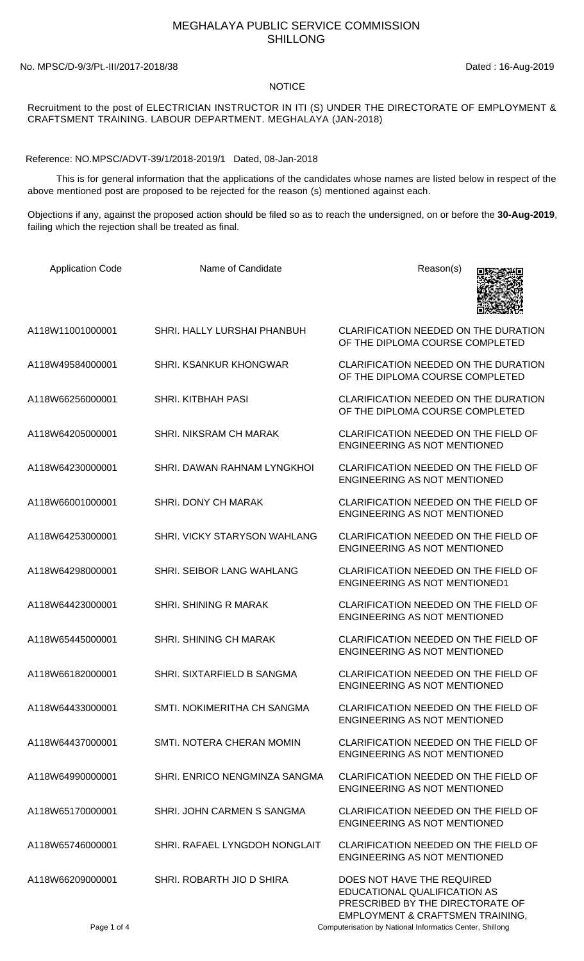## MEGHALAYA PUBLIC SERVICE COMMISSION SHILLONG

No. MPSC/D-9/3/Pt.-III/2017-2018/38 Dated : 16-Aug-2019

## NOTICE

## Recruitment to the post of ELECTRICIAN INSTRUCTOR IN ITI (S) UNDER THE DIRECTORATE OF EMPLOYMENT & CRAFTSMENT TRAINING. LABOUR DEPARTMENT. MEGHALAYA (JAN-2018)

Reference: NO.MPSC/ADVT-39/1/2018-2019/1 Dated, 08-Jan-2018

 This is for general information that the applications of the candidates whose names are listed below in respect of the above mentioned post are proposed to be rejected for the reason (s) mentioned against each.

Objections if any, against the proposed action should be filed so as to reach the undersigned, on or before the **30-Aug-2019**, failing which the rejection shall be treated as final.

| <b>Application Code</b> | Name of Candidate                   | Reason(s)                                                                                                                          |
|-------------------------|-------------------------------------|------------------------------------------------------------------------------------------------------------------------------------|
| A118W11001000001        | SHRI. HALLY LURSHAI PHANBUH         | CLARIFICATION NEEDED ON THE DURATION<br>OF THE DIPLOMA COURSE COMPLETED                                                            |
| A118W49584000001        | <b>SHRI, KSANKUR KHONGWAR</b>       | CLARIFICATION NEEDED ON THE DURATION<br>OF THE DIPLOMA COURSE COMPLETED                                                            |
| A118W66256000001        | <b>SHRI. KITBHAH PASI</b>           | <b>CLARIFICATION NEEDED ON THE DURATION</b><br>OF THE DIPLOMA COURSE COMPLETED                                                     |
| A118W64205000001        | SHRI. NIKSRAM CH MARAK              | CLARIFICATION NEEDED ON THE FIELD OF<br><b>ENGINEERING AS NOT MENTIONED</b>                                                        |
| A118W64230000001        | SHRI. DAWAN RAHNAM LYNGKHOI         | CLARIFICATION NEEDED ON THE FIELD OF<br><b>ENGINEERING AS NOT MENTIONED</b>                                                        |
| A118W66001000001        | SHRI. DONY CH MARAK                 | CLARIFICATION NEEDED ON THE FIELD OF<br><b>ENGINEERING AS NOT MENTIONED</b>                                                        |
| A118W64253000001        | <b>SHRI, VICKY STARYSON WAHLANG</b> | CLARIFICATION NEEDED ON THE FIELD OF<br><b>ENGINEERING AS NOT MENTIONED</b>                                                        |
| A118W64298000001        | SHRI. SEIBOR LANG WAHLANG           | CLARIFICATION NEEDED ON THE FIELD OF<br><b>ENGINEERING AS NOT MENTIONED1</b>                                                       |
| A118W64423000001        | SHRI. SHINING R MARAK               | CLARIFICATION NEEDED ON THE FIELD OF<br><b>ENGINEERING AS NOT MENTIONED</b>                                                        |
| A118W65445000001        | <b>SHRI. SHINING CH MARAK</b>       | CLARIFICATION NEEDED ON THE FIELD OF<br><b>ENGINEERING AS NOT MENTIONED</b>                                                        |
| A118W66182000001        | SHRI. SIXTARFIELD B SANGMA          | CLARIFICATION NEEDED ON THE FIELD OF<br>ENGINEERING AS NOT MENTIONED                                                               |
| A118W64433000001        | SMTI. NOKIMERITHA CH SANGMA         | CLARIFICATION NEEDED ON THE FIELD OF<br><b>ENGINEERING AS NOT MENTIONED</b>                                                        |
| A118W64437000001        | SMTI, NOTERA CHERAN MOMIN           | CLARIFICATION NEEDED ON THE FIELD OF<br><b>ENGINEERING AS NOT MENTIONED</b>                                                        |
| A118W64990000001        | SHRI, ENRICO NENGMINZA SANGMA       | CLARIFICATION NEEDED ON THE FIELD OF<br><b>ENGINEERING AS NOT MENTIONED</b>                                                        |
| A118W65170000001        | SHRI. JOHN CARMEN S SANGMA          | CLARIFICATION NEEDED ON THE FIELD OF<br><b>ENGINEERING AS NOT MENTIONED</b>                                                        |
| A118W65746000001        | SHRI. RAFAEL LYNGDOH NONGLAIT       | CLARIFICATION NEEDED ON THE FIELD OF<br><b>ENGINEERING AS NOT MENTIONED</b>                                                        |
| A118W66209000001        | SHRI. ROBARTH JIO D SHIRA           | DOES NOT HAVE THE REQUIRED<br>EDUCATIONAL QUALIFICATION AS<br>PRESCRIBED BY THE DIRECTORATE OF<br>EMPLOYMENT & CRAFTSMEN TRAINING, |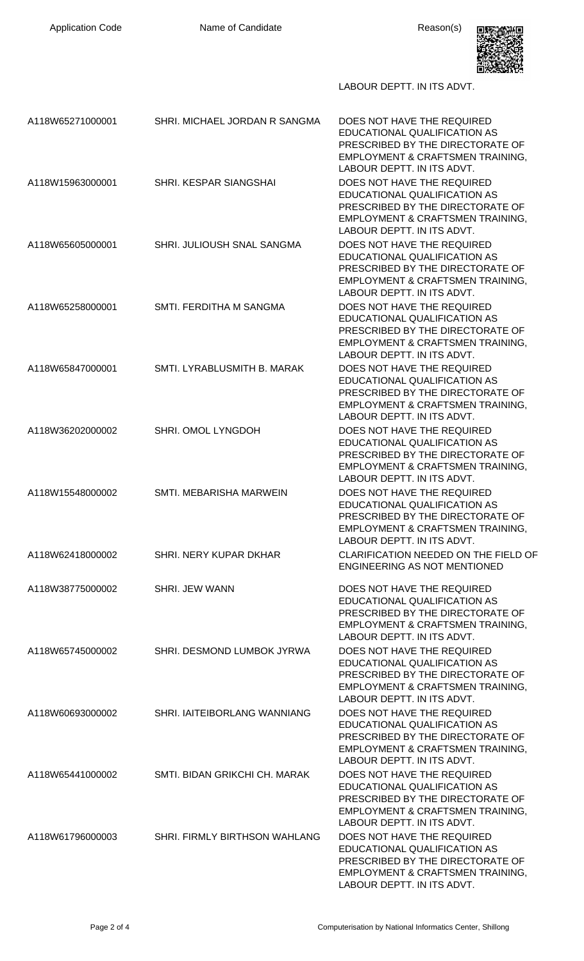Application Code **Name of Candidate Name of Candidate Reason(s)** 



LABOUR DEPTT. IN ITS ADVT.

| A118W65271000001 | SHRI. MICHAEL JORDAN R SANGMA | DOES NOT HAVE THE REQUIRED<br>EDUCATIONAL QUALIFICATION AS<br>PRESCRIBED BY THE DIRECTORATE OF<br>EMPLOYMENT & CRAFTSMEN TRAINING,<br>LABOUR DEPTT. IN ITS ADVT.            |
|------------------|-------------------------------|-----------------------------------------------------------------------------------------------------------------------------------------------------------------------------|
| A118W15963000001 | SHRI. KESPAR SIANGSHAI        | DOES NOT HAVE THE REQUIRED<br>EDUCATIONAL QUALIFICATION AS<br>PRESCRIBED BY THE DIRECTORATE OF<br><b>EMPLOYMENT &amp; CRAFTSMEN TRAINING,</b><br>LABOUR DEPTT. IN ITS ADVT. |
| A118W65605000001 | SHRI. JULIOUSH SNAL SANGMA    | DOES NOT HAVE THE REQUIRED<br>EDUCATIONAL QUALIFICATION AS<br>PRESCRIBED BY THE DIRECTORATE OF<br><b>EMPLOYMENT &amp; CRAFTSMEN TRAINING,</b><br>LABOUR DEPTT. IN ITS ADVT. |
| A118W65258000001 | SMTI. FERDITHA M SANGMA       | DOES NOT HAVE THE REQUIRED<br>EDUCATIONAL QUALIFICATION AS<br>PRESCRIBED BY THE DIRECTORATE OF<br><b>EMPLOYMENT &amp; CRAFTSMEN TRAINING,</b><br>LABOUR DEPTT. IN ITS ADVT. |
| A118W65847000001 | SMTI. LYRABLUSMITH B. MARAK   | DOES NOT HAVE THE REQUIRED<br>EDUCATIONAL QUALIFICATION AS<br>PRESCRIBED BY THE DIRECTORATE OF<br>EMPLOYMENT & CRAFTSMEN TRAINING,<br>LABOUR DEPTT. IN ITS ADVT.            |
| A118W36202000002 | SHRI. OMOL LYNGDOH            | DOES NOT HAVE THE REQUIRED<br>EDUCATIONAL QUALIFICATION AS<br>PRESCRIBED BY THE DIRECTORATE OF<br>EMPLOYMENT & CRAFTSMEN TRAINING,<br>LABOUR DEPTT. IN ITS ADVT.            |
| A118W15548000002 | SMTI. MEBARISHA MARWEIN       | DOES NOT HAVE THE REQUIRED<br>EDUCATIONAL QUALIFICATION AS<br>PRESCRIBED BY THE DIRECTORATE OF<br><b>EMPLOYMENT &amp; CRAFTSMEN TRAINING,</b><br>LABOUR DEPTT. IN ITS ADVT. |
| A118W62418000002 | SHRI. NERY KUPAR DKHAR        | CLARIFICATION NEEDED ON THE FIELD OF<br><b>ENGINEERING AS NOT MENTIONED</b>                                                                                                 |
| A118W38775000002 | SHRI. JEW WANN                | DOES NOT HAVE THE REQUIRED<br>EDUCATIONAL QUALIFICATION AS<br>PRESCRIBED BY THE DIRECTORATE OF<br><b>EMPLOYMENT &amp; CRAFTSMEN TRAINING,</b><br>LABOUR DEPTT. IN ITS ADVT. |
| A118W65745000002 | SHRI. DESMOND LUMBOK JYRWA    | DOES NOT HAVE THE REQUIRED<br>EDUCATIONAL QUALIFICATION AS<br>PRESCRIBED BY THE DIRECTORATE OF<br>EMPLOYMENT & CRAFTSMEN TRAINING,<br>LABOUR DEPTT. IN ITS ADVT.            |
| A118W60693000002 | SHRI. IAITEIBORLANG WANNIANG  | DOES NOT HAVE THE REQUIRED<br>EDUCATIONAL QUALIFICATION AS<br>PRESCRIBED BY THE DIRECTORATE OF<br>EMPLOYMENT & CRAFTSMEN TRAINING,<br>LABOUR DEPTT. IN ITS ADVT.            |
| A118W65441000002 | SMTI. BIDAN GRIKCHI CH. MARAK | DOES NOT HAVE THE REQUIRED<br>EDUCATIONAL QUALIFICATION AS<br>PRESCRIBED BY THE DIRECTORATE OF<br>EMPLOYMENT & CRAFTSMEN TRAINING,<br>LABOUR DEPTT. IN ITS ADVT.            |
| A118W61796000003 | SHRI. FIRMLY BIRTHSON WAHLANG | DOES NOT HAVE THE REQUIRED<br>EDUCATIONAL QUALIFICATION AS<br>PRESCRIBED BY THE DIRECTORATE OF<br><b>EMPLOYMENT &amp; CRAFTSMEN TRAINING.</b><br>LABOUR DEPTT. IN ITS ADVT. |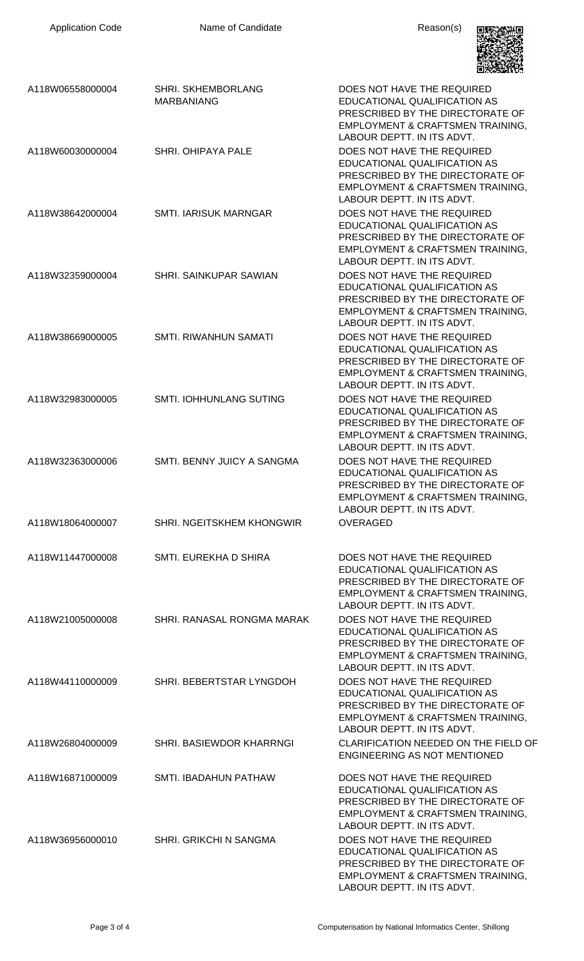

| A118W06558000004 | <b>SHRI. SKHEMBORLANG</b><br><b>MARBANIANG</b> | DOES NOT HAVE THE REQUIRED<br>EDUCATIONAL QUALIFICATION AS<br>PRESCRIBED BY THE DIRECTORATE OF<br>EMPLOYMENT & CRAFTSMEN TRAINING,<br>LABOUR DEPTT. IN ITS ADVT.            |
|------------------|------------------------------------------------|-----------------------------------------------------------------------------------------------------------------------------------------------------------------------------|
| A118W60030000004 | SHRI. OHIPAYA PALE                             | DOES NOT HAVE THE REQUIRED<br>EDUCATIONAL QUALIFICATION AS<br>PRESCRIBED BY THE DIRECTORATE OF<br>EMPLOYMENT & CRAFTSMEN TRAINING,<br>LABOUR DEPTT. IN ITS ADVT.            |
| A118W38642000004 | <b>SMTI. IARISUK MARNGAR</b>                   | DOES NOT HAVE THE REQUIRED<br>EDUCATIONAL QUALIFICATION AS<br>PRESCRIBED BY THE DIRECTORATE OF<br>EMPLOYMENT & CRAFTSMEN TRAINING,<br>LABOUR DEPTT. IN ITS ADVT.            |
| A118W32359000004 | SHRI. SAINKUPAR SAWIAN                         | DOES NOT HAVE THE REQUIRED<br>EDUCATIONAL QUALIFICATION AS<br>PRESCRIBED BY THE DIRECTORATE OF<br>EMPLOYMENT & CRAFTSMEN TRAINING,<br>LABOUR DEPTT. IN ITS ADVT.            |
| A118W38669000005 | <b>SMTI. RIWANHUN SAMATI</b>                   | DOES NOT HAVE THE REQUIRED<br>EDUCATIONAL QUALIFICATION AS<br>PRESCRIBED BY THE DIRECTORATE OF<br>EMPLOYMENT & CRAFTSMEN TRAINING,<br>LABOUR DEPTT. IN ITS ADVT.            |
| A118W32983000005 | SMTI. IOHHUNLANG SUTING                        | DOES NOT HAVE THE REQUIRED<br>EDUCATIONAL QUALIFICATION AS<br>PRESCRIBED BY THE DIRECTORATE OF<br>EMPLOYMENT & CRAFTSMEN TRAINING,<br>LABOUR DEPTT. IN ITS ADVT.            |
| A118W32363000006 | SMTI. BENNY JUICY A SANGMA                     | DOES NOT HAVE THE REQUIRED<br>EDUCATIONAL QUALIFICATION AS<br>PRESCRIBED BY THE DIRECTORATE OF<br><b>EMPLOYMENT &amp; CRAFTSMEN TRAINING.</b><br>LABOUR DEPTT. IN ITS ADVT. |
| A118W18064000007 | SHRI. NGEITSKHEM KHONGWIR                      | OVERAGED                                                                                                                                                                    |
| A118W11447000008 | SMTI. EUREKHA D SHIRA                          | DOES NOT HAVE THE REQUIRED<br>EDUCATIONAL QUALIFICATION AS<br>PRESCRIBED BY THE DIRECTORATE OF<br>EMPLOYMENT & CRAFTSMEN TRAINING,<br>LABOUR DEPTT. IN ITS ADVT.            |
| A118W21005000008 | SHRI. RANASAL RONGMA MARAK                     | DOES NOT HAVE THE REQUIRED<br>EDUCATIONAL QUALIFICATION AS<br>PRESCRIBED BY THE DIRECTORATE OF<br>EMPLOYMENT & CRAFTSMEN TRAINING,<br>LABOUR DEPTT. IN ITS ADVT.            |
| A118W44110000009 | SHRI. BEBERTSTAR LYNGDOH                       | DOES NOT HAVE THE REQUIRED<br>EDUCATIONAL QUALIFICATION AS<br>PRESCRIBED BY THE DIRECTORATE OF<br>EMPLOYMENT & CRAFTSMEN TRAINING,<br>LABOUR DEPTT. IN ITS ADVT.            |
| A118W26804000009 | <b>SHRI. BASIEWDOR KHARRNGI</b>                | CLARIFICATION NEEDED ON THE FIELD OF<br><b>ENGINEERING AS NOT MENTIONED</b>                                                                                                 |
| A118W16871000009 | SMTI. IBADAHUN PATHAW                          | DOES NOT HAVE THE REQUIRED<br>EDUCATIONAL QUALIFICATION AS<br>PRESCRIBED BY THE DIRECTORATE OF<br>EMPLOYMENT & CRAFTSMEN TRAINING,<br>LABOUR DEPTT. IN ITS ADVT.            |
| A118W36956000010 | SHRI. GRIKCHI N SANGMA                         | DOES NOT HAVE THE REQUIRED<br>EDUCATIONAL QUALIFICATION AS<br>PRESCRIBED BY THE DIRECTORATE OF<br>EMPLOYMENT & CRAFTSMEN TRAINING,<br>LABOUR DEPTT. IN ITS ADVT.            |